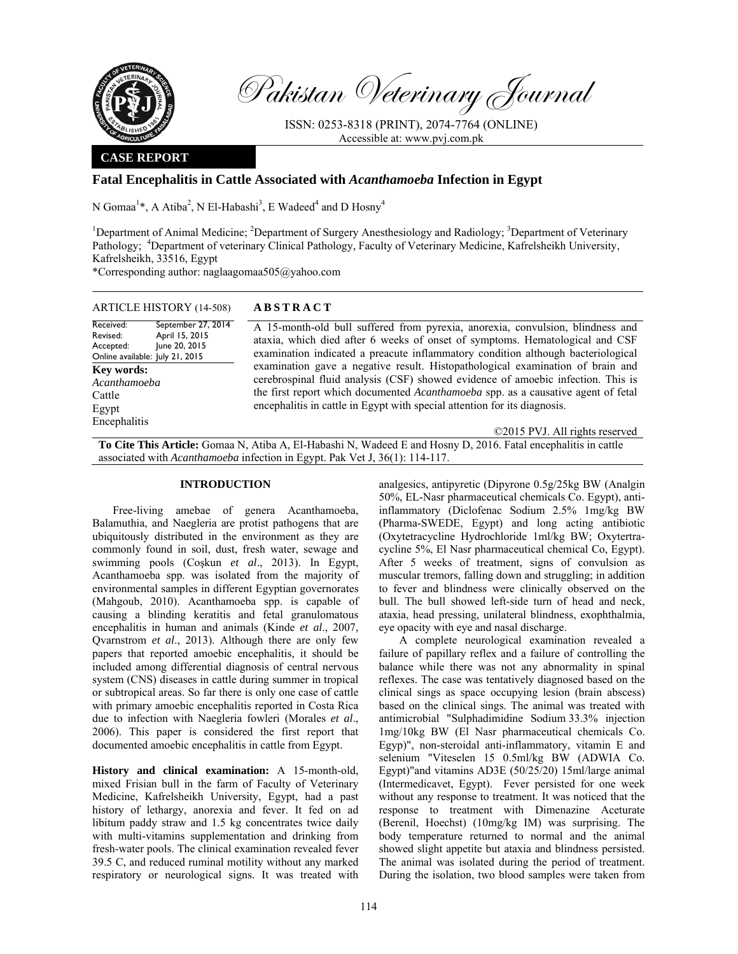

Pakistan Veterinary Journal

ISSN: 0253-8318 (PRINT), 2074-7764 (ONLINE) Accessible at: www.pvj.com.pk

## **CASE REPORT**

# **Fatal Encephalitis in Cattle Associated with** *Acanthamoeba* **Infection in Egypt**

N Gomaa<sup>1</sup>\*, A Atiba<sup>2</sup>, N El-Habashi<sup>3</sup>, E Wadeed<sup>4</sup> and D Hosny<sup>4</sup>

<sup>1</sup>Department of Animal Medicine; <sup>2</sup>Department of Surgery Anesthesiology and Radiology; <sup>3</sup>Department of Veterinary Pathology; <sup>4</sup>Department of veterinary Clinical Pathology, Faculty of Veterinary Medicine, Kafrelsheikh University, Kafrelsheikh, 33516, Egypt

\*Corresponding author: naglaagomaa505@yahoo.com

| <b>ARTICLE HISTORY (14-508)</b>                                                                                                | <b>ABSTRACT</b>                                                                                                                                                                                                                                                                                                                                                                                                                                                                                                                                                                                   |
|--------------------------------------------------------------------------------------------------------------------------------|---------------------------------------------------------------------------------------------------------------------------------------------------------------------------------------------------------------------------------------------------------------------------------------------------------------------------------------------------------------------------------------------------------------------------------------------------------------------------------------------------------------------------------------------------------------------------------------------------|
| Received:<br>September 27, 2014<br>April 15, 2015<br>Revised:<br>June 20, 2015<br>Accepted:<br>Online available: July 21, 2015 | A 15-month-old bull suffered from pyrexia, anorexia, convulsion, blindness and<br>ataxia, which died after 6 weeks of onset of symptoms. Hematological and CSF<br>examination indicated a preacute inflammatory condition although bacteriological<br>examination gave a negative result. Histopathological examination of brain and<br>cerebrospinal fluid analysis (CSF) showed evidence of amoebic infection. This is<br>the first report which documented <i>Acanthamoeba</i> spp. as a causative agent of fetal<br>encephalitis in cattle in Egypt with special attention for its diagnosis. |
| Key words:<br>Acanthamoeba<br>Cattle<br>Egypt                                                                                  |                                                                                                                                                                                                                                                                                                                                                                                                                                                                                                                                                                                                   |
| Encephalitis                                                                                                                   | ©2015 PVJ. All rights reserved<br>$\mathbf{m}$ $\mathbf{C}^{ij}$ $\mathbf{m}^{ij}$ (a) $\mathbf{r}^{ij}$ (a) $\mathbf{r}^{ij}$ (a) $\mathbf{r}^{ij}$ (b) $\mathbf{r}^{ij}$ (c) $\mathbf{r}^{ij}$ (c) $\mathbf{r}^{ij}$ (c) $\mathbf{r}^{ij}$ (c) $\mathbf{r}^{ij}$ (c) $\mathbf{r}^{ij}$ (c) $\mathbf{r}^{ij}$ (c) $\mathbf{r}^{ij}$ (c) $\mathbf{r}^{$                                                                                                                                                                                                                                           |

**To Cite This Article:** Gomaa N, Atiba A, El-Habashi N, Wadeed E and Hosny D, 2016. Fatal encephalitis in cattle associated with *Acanthamoeba* infection in Egypt. Pak Vet J, 36(1): 114-117.

## **INTRODUCTION**

Free-living amebae of genera Acanthamoeba, Balamuthia, and Naegleria are protist pathogens that are ubiquitously distributed in the environment as they are commonly found in soil, dust, fresh water, sewage and swimming pools (Coşkun *et al*., 2013). In Egypt, Acanthamoeba spp. was isolated from the majority of environmental samples in different Egyptian governorates (Mahgoub, 2010). Acanthamoeba spp. is capable of causing a blinding keratitis and fetal granulomatous encephalitis in human and animals (Kinde *et al*., 2007, Qvarnstrom *et al*., 2013). Although there are only few papers that reported amoebic encephalitis, it should be included among differential diagnosis of central nervous system (CNS) diseases in cattle during summer in tropical or subtropical areas. So far there is only one case of cattle with primary amoebic encephalitis reported in Costa Rica due to infection with Naegleria fowleri (Morales *et al*., 2006). This paper is considered the first report that documented amoebic encephalitis in cattle from Egypt.

**History and clinical examination:** A 15-month-old, mixed Frisian bull in the farm of Faculty of Veterinary Medicine, Kafrelsheikh University, Egypt, had a past history of lethargy, anorexia and fever. It fed on ad libitum paddy straw and 1.5 kg concentrates twice daily with multi-vitamins supplementation and drinking from fresh-water pools. The clinical examination revealed fever 39.5 C, and reduced ruminal motility without any marked respiratory or neurological signs. It was treated with

analgesics, antipyretic (Dipyrone 0.5g/25kg BW (Analgin 50%, EL-Nasr pharmaceutical chemicals Co. Egypt), antiinflammatory (Diclofenac Sodium 2.5% 1mg/kg BW (Pharma-SWEDE, Egypt) and long acting antibiotic (Oxytetracycline Hydrochloride 1ml/kg BW; Oxytertracycline 5%, El Nasr pharmaceutical chemical Co, Egypt). After 5 weeks of treatment, signs of convulsion as muscular tremors, falling down and struggling; in addition to fever and blindness were clinically observed on the bull. The bull showed left-side turn of head and neck, ataxia, head pressing, unilateral blindness, exophthalmia, eye opacity with eye and nasal discharge.

A complete neurological examination revealed a failure of papillary reflex and a failure of controlling the balance while there was not any abnormality in spinal reflexes. The case was tentatively diagnosed based on the clinical sings as space occupying lesion (brain abscess) based on the clinical sings. The animal was treated with antimicrobial "Sulphadimidine Sodium 33.3% injection 1mg/10kg BW (El Nasr pharmaceutical chemicals Co. Egyp)", non-steroidal anti-inflammatory, vitamin E and selenium "Viteselen 15 0.5ml/kg BW (ADWIA Co. Egypt)"and vitamins AD3E (50/25/20) 15ml/large animal (Intermedicavet, Egypt). Fever persisted for one week without any response to treatment. It was noticed that the response to treatment with Dimenazine Aceturate (Berenil, Hoechst) (10mg/kg IM) was surprising. The body temperature returned to normal and the animal showed slight appetite but ataxia and blindness persisted. The animal was isolated during the period of treatment. During the isolation, two blood samples were taken from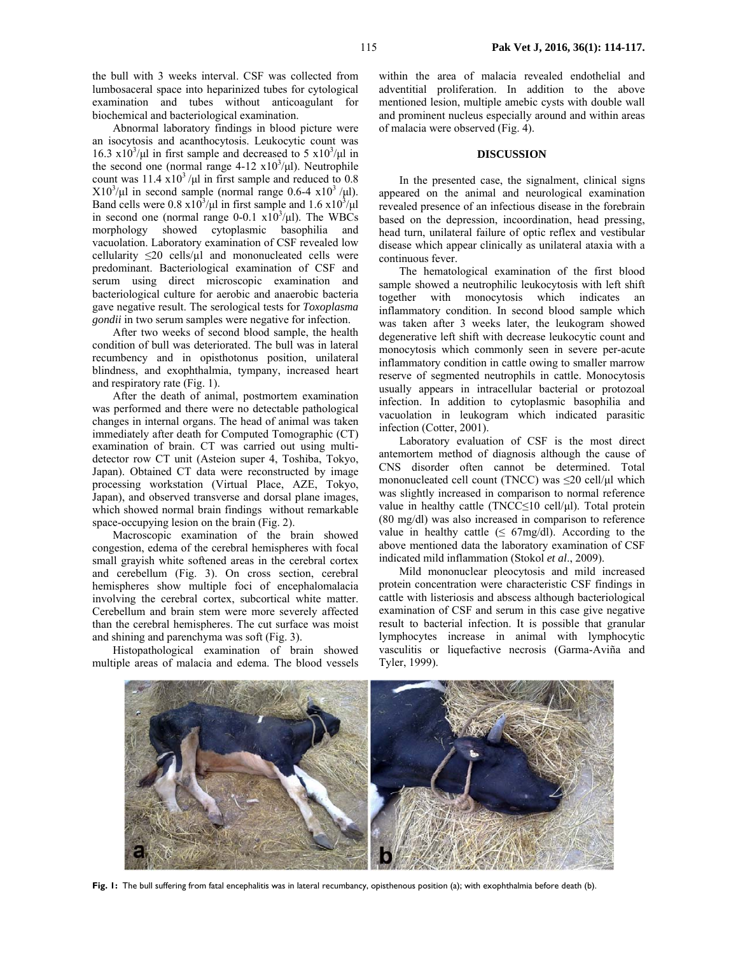the bull with 3 weeks interval. CSF was collected from lumbosaceral space into heparinized tubes for cytological examination and tubes without anticoagulant for biochemical and bacteriological examination.

Abnormal laboratory findings in blood picture were an isocytosis and acanthocytosis. Leukocytic count was 16.3  $x10^3/\mu$ l in first sample and decreased to 5  $x10^3/\mu$ l in the second one (normal range  $4-12 \times 10^3/\mu$ ). Neutrophile count was  $11.4 \times 10^3$ /µl in first sample and reduced to 0.8  $X10^3/\mu l$  in second sample (normal range 0.6-4 x10<sup>3</sup>/ $\mu$ l). Band cells were  $0.8 \times 10^3/\mu$  in first sample and  $1.6 \times 10^3/\mu$ in second one (normal range 0-0.1  $x10^3/\mu$ ). The WBCs morphology showed cytoplasmic basophilia and vacuolation. Laboratory examination of CSF revealed low cellularity  $\leq 20$  cells/ $\mu$ l and mononucleated cells were predominant. Bacteriological examination of CSF and serum using direct microscopic examination and bacteriological culture for aerobic and anaerobic bacteria gave negative result. The serological tests for *Toxoplasma gondii* in two serum samples were negative for infection.

After two weeks of second blood sample, the health condition of bull was deteriorated. The bull was in lateral recumbency and in opisthotonus position, unilateral blindness, and exophthalmia, tympany, increased heart and respiratory rate (Fig. 1).

After the death of animal, postmortem examination was performed and there were no detectable pathological changes in internal organs. The head of animal was taken immediately after death for Computed Tomographic (CT) examination of brain. CT was carried out using multidetector row CT unit (Asteion super 4, Toshiba, Tokyo, Japan). Obtained CT data were reconstructed by image processing workstation (Virtual Place, AZE, Tokyo, Japan), and observed transverse and dorsal plane images, which showed normal brain findings without remarkable space-occupying lesion on the brain (Fig. 2).

Macroscopic examination of the brain showed congestion, edema of the cerebral hemispheres with focal small grayish white softened areas in the cerebral cortex and cerebellum (Fig. 3). On cross section, cerebral hemispheres show multiple foci of encephalomalacia involving the cerebral cortex, subcortical white matter. Cerebellum and brain stem were more severely affected than the cerebral hemispheres. The cut surface was moist and shining and parenchyma was soft (Fig. 3).

Histopathological examination of brain showed multiple areas of malacia and edema. The blood vessels

within the area of malacia revealed endothelial and adventitial proliferation. In addition to the above mentioned lesion, multiple amebic cysts with double wall and prominent nucleus especially around and within areas of malacia were observed (Fig. 4).

#### **DISCUSSION**

In the presented case, the signalment, clinical signs appeared on the animal and neurological examination revealed presence of an infectious disease in the forebrain based on the depression, incoordination, head pressing, head turn, unilateral failure of optic reflex and vestibular disease which appear clinically as unilateral ataxia with a continuous fever.

The hematological examination of the first blood sample showed a neutrophilic leukocytosis with left shift together with monocytosis which indicates an inflammatory condition. In second blood sample which was taken after 3 weeks later, the leukogram showed degenerative left shift with decrease leukocytic count and monocytosis which commonly seen in severe per-acute inflammatory condition in cattle owing to smaller marrow reserve of segmented neutrophils in cattle. Monocytosis usually appears in intracellular bacterial or protozoal infection. In addition to cytoplasmic basophilia and vacuolation in leukogram which indicated parasitic infection (Cotter, 2001).

Laboratory evaluation of CSF is the most direct antemortem method of diagnosis although the cause of CNS disorder often cannot be determined. Total mononucleated cell count (TNCC) was  $\leq$ 20 cell/ $\mu$ l which was slightly increased in comparison to normal reference value in healthy cattle (TNCC≤10 cell/µl). Total protein (80 mg/dl) was also increased in comparison to reference value in healthy cattle  $( \leq 67 \text{mg/dl})$ . According to the above mentioned data the laboratory examination of CSF indicated mild inflammation (Stokol *et al*., 2009).

Mild mononuclear pleocytosis and mild increased protein concentration were characteristic CSF findings in cattle with listeriosis and abscess although bacteriological examination of CSF and serum in this case give negative result to bacterial infection. It is possible that granular lymphocytes increase in animal with lymphocytic vasculitis or liquefactive necrosis (Garma-Aviña and Tyler, 1999).



**Fig. 1:** The bull suffering from fatal encephalitis was in lateral recumbancy, opisthenous position (a); with exophthalmia before death (b).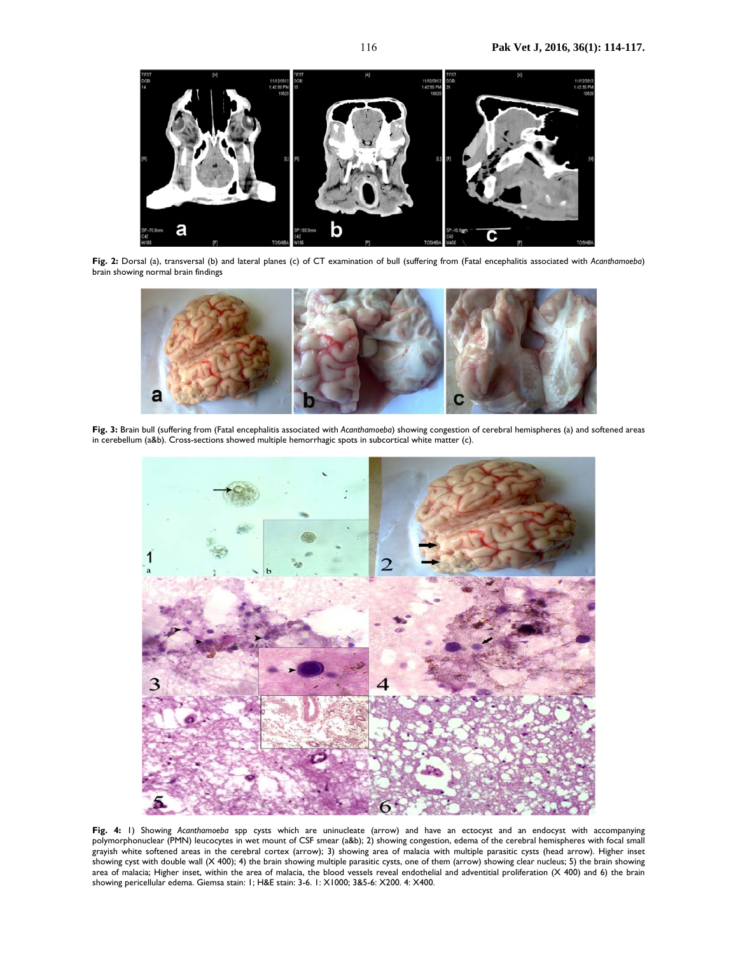

**Fig. 2:** Dorsal (a), transversal (b) and lateral planes (c) of CT examination of bull (suffering from (Fatal encephalitis associated with *Acanthamoeba*) brain showing normal brain findings



**Fig. 3:** Brain bull (suffering from (Fatal encephalitis associated with *Acanthamoeba*) showing congestion of cerebral hemispheres (a) and softened areas in cerebellum (a&b). Cross-sections showed multiple hemorrhagic spots in subcortical white matter (c).



**Fig. 4:** 1) Showing *Acanthamoeba* spp cysts which are uninucleate (arrow) and have an ectocyst and an endocyst with accompanying polymorphonuclear (PMN) leucocytes in wet mount of CSF smear (a&b); 2) showing congestion, edema of the cerebral hemispheres with focal small grayish white softened areas in the cerebral cortex (arrow); 3) showing area of malacia with multiple parasitic cysts (head arrow). Higher inset showing cyst with double wall (X 400); 4) the brain showing multiple parasitic cysts, one of them (arrow) showing clear nucleus; 5) the brain showing area of malacia; Higher inset, within the area of malacia, the blood vessels reveal endothelial and adventitial proliferation (X 400) and 6) the brain showing pericellular edema. Giemsa stain: 1; H&E stain: 3-6. 1: X1000; 3&5-6: X200. 4: X400.